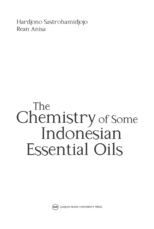Hardjono Sastrohamidjojo Rean Anisa

# The Chemistry of Some Indonésian **Essential Oils**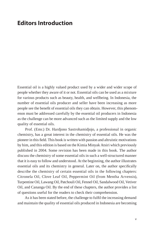#### **Editors Introduction**

Essential oil is a highly valued product used by a wider and wider scope of people whether they aware of it or not. Essential oils can be used as a mixture for various products such as beauty, health, and wellbeing. In Indonesia, the number of essential oils producer and seller have been increasing as more people see the benefit of essential oils they can obtain. However, this phenomenon must be addressed carefully by the essential oil producers in Indonesia as the challenge can be more advanced such as the limited supply and the low quality of essential oils.

Prof. (Emr.) Dr. Hardjono Sastrohamidjojo, a professional in organic chemistry, has a great interest in the chemistry of essential oils. He was the pioneer in this field. This book is written with passion and altruistic motivations by him, and this edition is based on the Kimia Minyak Atsiri which previously published in 2004. Some revision has been made in this book. The author discuss the chemistry of some essential oils in such a well-structured manner that it is easy to follow and understood. At the beginning, the author illustrates essential oils and its chemistry in general. Later on, the author specifically describe the chemistry of certain essential oils in the following chapters: Citronela Oil, Clove Leaf Oil, Peppermint Oil (from Mentha Arvensis), Turpentine Oil, Lawang Oil, Patchouli Oil, Fennel Oil, Sandalwood Oil, Vetiver Oil, and Cananga Oil. By the end of these chapters, the author provides a list of questions useful for the readers to check their comprehension.

As it has been stated before, the challenge to fulfil the increasing demand and maintain the quality of essential oils produced in Indonesia are becoming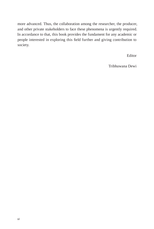more advanced. Thus, the collaboration among the researcher, the producer, and other private stakeholders to face these phenomena is urgently required. In accordance to that, this book provides the fundament for any academic or people interested in exploring this field further and giving contribution to society.

Editor

Tribhuwana Dewi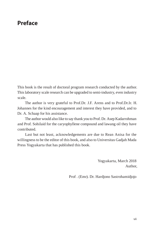#### **Preface**

This book is the result of doctoral program research conducted by the author. This laboratory scale research can be upgraded to semi-industry, even industry scale.

The author is very grateful to Prof.Dr. J.F. Arens and to Prof.Dr.Ir. H. Johannes for the kind encouragement and interest they have provided, and to Dr. A. Schaap for his assistance.

The author would also like to say thank you to Prof. Dr. Asep Kadarrohman and Prof. Sohilaid for the caryophyllene compound and lawang oil they have contributed.

Last but not least, acknowledgements are due to Rean Anisa for the willingness to be the editor of this book, and also to Universitas Gadjah Mada Press Yogyakarta that has published this book.

> Yogyakarta, March 2018 Author,

Prof . (Emr). Dr. Hardjono Sastrohamidjojo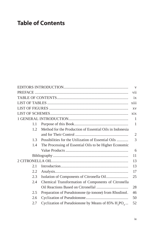## **Table of Contents**

|     |                                                              | $\overline{\mathbf{V}}$ |
|-----|--------------------------------------------------------------|-------------------------|
|     |                                                              |                         |
|     |                                                              | ix                      |
|     |                                                              | xiii                    |
|     |                                                              | XV                      |
|     |                                                              | xix                     |
|     |                                                              | $\mathbf{1}$            |
| 1.1 |                                                              | $\mathbf{1}$            |
| 1.2 | Method for the Production of Essential Oils in Indonesia     |                         |
|     |                                                              | $\overline{2}$          |
| 1.3 | Possibilities for the Utilization of Essential Oils          | 3                       |
| 1.4 | The Processing of Essential Oils to be Higher Economic       |                         |
|     |                                                              | 6                       |
|     |                                                              | 11                      |
|     |                                                              | 13                      |
| 2.1 |                                                              | 13                      |
| 2.2 |                                                              | 17                      |
| 2.3 |                                                              | 25                      |
| 2.4 | Chemical Transformation of Components of Citronella          |                         |
|     |                                                              | 28                      |
| 2.5 | Preparation of Pseudoionone ( $\psi$ -ionone) from Rhodinol. | 46                      |
| 2.6 |                                                              | 50                      |
| 2.7 | Cyclization of Pseudoionone by Means of 85% $H_2PO_4$        | 52                      |
|     |                                                              |                         |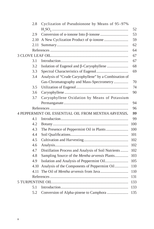| 2.8  | Cyclization of Pseudoionone by Means of 95-97%        |     |
|------|-------------------------------------------------------|-----|
|      |                                                       | 52  |
| 2.9  |                                                       | 53  |
| 2.10 |                                                       | 59  |
| 2.11 |                                                       | 62  |
|      |                                                       | 64  |
|      |                                                       | 67  |
| 3.1  |                                                       | 67  |
| 3.2  | Isolation of Eugenol and β-Caryophyllene              | 68  |
| 3.3  |                                                       | 69  |
| 3.4  | Analysis of "Crude Caryophyllene" by a Combination of |     |
|      | Gas-Chromatography and Mass-Spectrometry              | 70  |
| 3.5  |                                                       | 74  |
| 3.6  |                                                       | 90  |
| 3.7  | Caryophyllene Oxidation by Means of Potassium         |     |
|      |                                                       | 94  |
|      |                                                       | 96  |
|      | 4 PEPPERMINT OIL ESSENTIAL OIL FROM MENTHA ARVENSIS.  | 99  |
| 4.1  |                                                       | 99  |
| 4.2  |                                                       | 100 |
| 4.3  | The Presence of Peppermint Oil in Plants              | 100 |
| 4.4  |                                                       | 101 |
| 4.5  |                                                       | 102 |
| 4.6  |                                                       | 102 |
| 4.7  | Distillation Process and Analysis of Soil Nutrients   | 102 |
| 4.8  | Sampling Source of the Mentha arvensis Plants         | 103 |
| 4.9  |                                                       | 105 |
| 4.10 | Analysis of the Components of Peppermint Oil          | 110 |
| 4.11 |                                                       | 110 |
|      |                                                       | 131 |
|      |                                                       | 133 |
| 5.1  |                                                       | 133 |
| 5.2  | Conversion of Alpha-pinene to Camphora                | 135 |
|      |                                                       |     |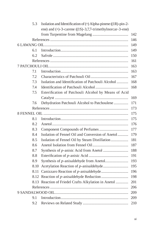| 5.3  | Isolation and Identification of (+) Alpha-pinene ((1R)-pin-2- |     |
|------|---------------------------------------------------------------|-----|
|      | ene) and (+)-3-carene ((1S)-3,7,7-trimethylnorcar-3-ene)      |     |
|      |                                                               | 142 |
|      |                                                               | 146 |
|      |                                                               | 149 |
| 6.1  |                                                               | 149 |
| 6.2  |                                                               | 150 |
|      |                                                               | 161 |
|      |                                                               | 163 |
| 7.1  |                                                               | 163 |
| 7.2  |                                                               | 167 |
| 7.3  | Isolation and Identification of Patchouli Alcohol             | 168 |
| 7.4  |                                                               | 168 |
| 7.5  | Esterification of Patchouli Alcohol by Means of Acid          |     |
|      |                                                               | 169 |
| 7.6  | Dehydration Patchouli Alcohol to Patchoulene                  | 171 |
|      |                                                               | 173 |
|      |                                                               | 175 |
| 8.1  |                                                               | 175 |
| 8.2  |                                                               | 176 |
| 8.3  |                                                               | 177 |
| 8.4  | Isolation of Fennel Oil and Conversion of Anetol              | 179 |
| 8.5  | Isolation of Fennel Oil by Steam Distillation                 | 181 |
| 8.6  |                                                               | 187 |
| 8.7  |                                                               | 188 |
| 8.8  |                                                               | 191 |
| 8.9  |                                                               | 193 |
| 8.10 |                                                               | 195 |
| 8.11 |                                                               | 196 |
| 8.12 |                                                               | 198 |
|      | 8.13 Reaction of Friedel Crafts Alkylation in Anetol          | 201 |
|      |                                                               | 206 |
|      |                                                               | 209 |
| 9.1  |                                                               | 209 |
| 9.2  |                                                               | 210 |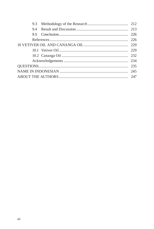| 9.3 |  |  |
|-----|--|--|
| 9.4 |  |  |
|     |  |  |
|     |  |  |
|     |  |  |
|     |  |  |
|     |  |  |
|     |  |  |
|     |  |  |
|     |  |  |
|     |  |  |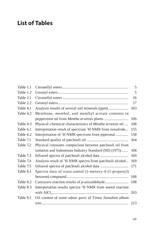## **List of Tables**

| Table 1.1 |                                                                        | 5   |
|-----------|------------------------------------------------------------------------|-----|
| Table 1.2 |                                                                        | 5   |
| Table 2.1 |                                                                        | 16  |
| Table 2.2 |                                                                        | 17  |
| Table 4.1 | Analysis results of several soil minerals (ppm)                        | 103 |
| Table 4.2 | Menthone, menthol, and menthyl acetate contents in                     |     |
|           |                                                                        | 106 |
| Table 4.3 | Physical-chemical characteristics of Mentha arvensis oil               | 108 |
| Table 6.1 | Interpretation result of spectrum <sup>1</sup> H NMR from isosafrole   | 155 |
| Table 6.2 | Interpretation of <sup>1</sup> H NMR spectrum from piperonal           | 158 |
| Table 7.1 |                                                                        | 164 |
| Table 7.2 | Physical constants comparison between patchouli oil from               |     |
|           | isolation and Indonesian Industry Standard (SII) (1975)                | 168 |
| Table 7.3 |                                                                        | 169 |
| Table 7.4 | Analysis result of <sup>1</sup> H NMR spectra from patchouli alcohol   | 169 |
| Table 7.5 |                                                                        | 171 |
| Table 8.1 | Spectra data of trans-anetol (1-metoxy-4-(1-propenyl)                  |     |
|           |                                                                        | 188 |
| Table 8.2 | Canizzaro reaction results of p-anisaldehyde                           | 198 |
| Table 8.3 | Interpretation results spectra <sup>1</sup> H NMR from anetol reaction |     |
|           |                                                                        | 203 |
| Table 9.1 | Oil content of some odour parts of Timor Santalum album                |     |
|           |                                                                        | 213 |
|           |                                                                        |     |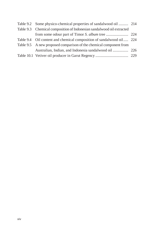| Table 9.2 Some physico-chemical properties of sandalwood oil  214     |  |
|-----------------------------------------------------------------------|--|
| Table 9.3 Chemical composition of Indonesian sandalwood oil extracted |  |
|                                                                       |  |
| Table 9.4 Oil content and chemical composition of sandalwood oil 224  |  |
| Table 9.5 A new proposed comparison of the chemical component from    |  |
|                                                                       |  |
|                                                                       |  |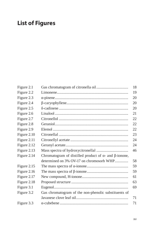# **List of Figures**

| Figure 2.1  |                                                                      | 18 |
|-------------|----------------------------------------------------------------------|----|
| Figure 2.2  |                                                                      | 19 |
| Figure 2.3  |                                                                      | 20 |
| Figure 2.4  |                                                                      | 20 |
| Figure 2.5  |                                                                      | 20 |
| Figure 2.6  |                                                                      | 21 |
| Figure 2.7  |                                                                      | 22 |
| Figure 2.8  |                                                                      | 22 |
| Figure 2.9  |                                                                      | 22 |
| Figure 2.10 |                                                                      | 23 |
| Figure 2.11 |                                                                      | 24 |
| Figure 2.12 |                                                                      | 24 |
| Figure 2.13 |                                                                      | 46 |
| Figure 2.14 | Chromatogram of distilled product of $\alpha$ - and $\beta$ -ionone, |    |
|             | determined on 3% OV-17 on chromosorb WHP                             | 58 |
| Figure 2.15 |                                                                      | 59 |
| Figure 2.16 |                                                                      | 59 |
| Figure 2.17 |                                                                      | 61 |
| Figure 2.18 |                                                                      | 63 |
| Figure 3.1  |                                                                      | 69 |
| Figure 3.2  | Gas chromatogram of the non-phenolic substituents of                 |    |
|             |                                                                      | 71 |
| Figure 3.3  |                                                                      | 71 |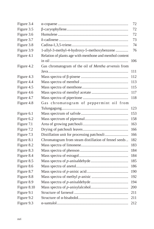| Figure 3.4  |                                                          | 72  |
|-------------|----------------------------------------------------------|-----|
| Figure 3.5  |                                                          | 72  |
| Figure 3.6  |                                                          | 72  |
| Figure 3.7  |                                                          | 73  |
| Figure 3.8  |                                                          | 74  |
| Figure 3.9  | 1-allyl-3-methyl-4-hydroxy-5-methoxybenzene              | 76  |
| Figure 4.1  | Relation of plants age with menthone and menthol content |     |
|             |                                                          | 106 |
| Figure 4.2  | Gas chromatogram of the oil of Mentha arvensis from      |     |
|             |                                                          | 111 |
| Figure 4.3  |                                                          | 112 |
| Figure 4.4  |                                                          | 113 |
| Figure 4.5  |                                                          | 115 |
| Figure 4.6  |                                                          | 117 |
| Figure 4.7  |                                                          | 118 |
| Figure 4.8  | Gas chromatogram of peppermint oil from                  |     |
|             |                                                          | 123 |
| Figure 6.1  |                                                          | 153 |
| Figure 6.2  |                                                          | 158 |
| Figure 7.1  |                                                          | 163 |
| Figure 7.2  |                                                          | 166 |
| Figure 7.3  | Distillation unit for processing patchouli               | 166 |
| Figure 8.1  | Chromatogram from steam distillation of fennel seeds     | 182 |
| Figure 8.2  |                                                          | 183 |
| Figure 8.3  |                                                          | 184 |
| Figure 8.4  |                                                          | 184 |
| Figure 8.5  |                                                          | 185 |
| Figure 8.6  |                                                          | 186 |
| Figure 8.7  |                                                          | 190 |
| Figure 8.8  |                                                          | 192 |
| Figure 8.9  |                                                          | 194 |
| Figure 8.10 |                                                          | 200 |
| Figure 9.1  |                                                          | 211 |
| Figure 9.2  |                                                          | 211 |
| Figure 9.3  |                                                          | 212 |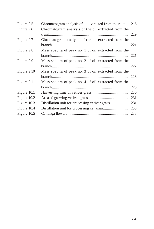| Figure 9.5  | Chromatogram analysis of oil extracted from the root  216 |     |
|-------------|-----------------------------------------------------------|-----|
| Figure 9.6  | Chromatogram analysis of the oil extracted from the       |     |
|             |                                                           | 219 |
| Figure 9.7  | Chromatogram analysis of the oil extracted from the       |     |
|             |                                                           | 221 |
| Figure 9.8  | Mass spectra of peak no. 1 of oil extracted from the      |     |
|             |                                                           | 221 |
| Figure 9.9  | Mass spectra of peak no. 2 of oil extracted from the      |     |
|             |                                                           |     |
| Figure 9.10 | Mass spectra of peak no. 3 of oil extracted from the      |     |
|             |                                                           |     |
| Figure 9.11 | Mass spectra of peak no. 4 of oil extracted from the      |     |
|             |                                                           | 223 |
| Figure 10.1 |                                                           | 230 |
| Figure 10.2 |                                                           | 231 |
| Figure 10.3 | Distillation unit for processing vetiver grass            | 231 |
| Figure 10.4 |                                                           | 233 |
| Figure 10.5 |                                                           | 233 |